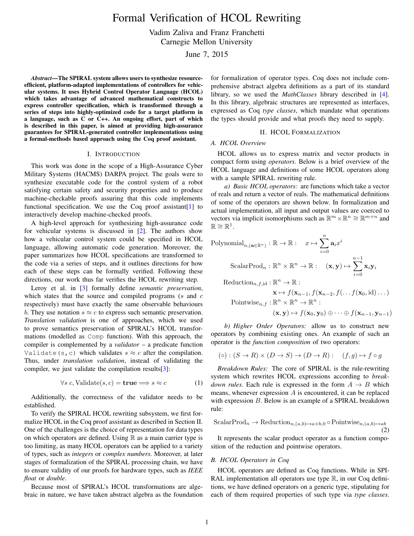Formal Verification of HCOL Rewriting

Vadim Zaliva and Franz Franchetti

Carnegie Mellon University

June 7, 2015

<span id="page-0-1"></span>*Abstract*—The SPIRAL system allows users to synthesize resourceefficient, platform-adapted implementations of controllers for vehicular systems. It uses Hybrid Control Operator Language (HCOL) which takes advantage of advanced mathematical constructs to express controller specification, which is transformed through a series of steps into highly-optimized code for a target platform in a language, such as C or C++. An ongoing effort, part of which is described in this paper, is aimed at providing high-assurance guarantees for SPIRAL-generated controller implementations using a formal-methods based approach using the Coq proof assistant.

## I. INTRODUCTION

This work was done in the scope of a High-Assurance Cyber Military Systems (HACMS) DARPA project. The goals were to synthesize executable code for the control system of a robot satisfying certain safety and security properties and to produce machine-checkable proofs assuring that this code implements functional specification. We use the Coq proof assistant  $[1]$  to interactively develop machine-checked proofs.

A high-level approach for synthesizing high-assurance code for vehicular systems is discussed in [\[2\]](#page-1-1). The authors show how a vehicular control system could be specified in HCOL language, allowing automatic code generation. Moreover, the paper summarizes how HCOL specifications are transformed to the code via a series of steps, and it outlines directions for how each of these steps can be formally verified. Following these directions, our work thus far verifies the HCOL rewriting step.

Leroy et al. in [\[3\]](#page-1-2) formally define *semantic preservation*, which states that the source and compiled programs  $(s$  and  $c$ respectively) must have exactly the same observable behaviours b. They use notation  $s \approx c$  to express such semantic preservation. *Translation validation* is one of approaches, which we used to prove semantics preservation of SPIRAL's HCOL transformations (modelled as Comp function). With this approach, the compiler is complemented by a *validator* – a predicate function Validate(s, c) which validates  $s \approx c$  after the compilation. Thus, under *translation validation*, instead of validating the compiler, we just validate the compilation results[\[3\]](#page-1-2):

$$
\forall s \ c, \text{Validate}(s, c) = \text{true} \Longrightarrow s \approx c \tag{1}
$$

Additionally, the correctness of the validator needs to be established.

To verify the SPIRAL HCOL rewriting subsystem, we first formalize HCOL in the Coq proof assistant as described in Section [II.](#page-0-0) One of the challenges is the choice of representation for data types on which operators are defined. Using  $\mathbb R$  as a main carrier type is too limiting, as many HCOL operators can be applied to a variety of types, such as *integers* or *complex numbers*. Moreover, at later stages of formalization of the SPIRAL processing chain, we have to ensure validity of our proofs for hardware types, such as *IEEE float* or *double*.

Because most of SPIRAL's HCOL transformations are algebraic in nature, we have taken abstract algebra as the foundation for formalization of operator types. Coq does not include comprehensive abstract algebra definitions as a part of its standard library, so we used the *MathClasses* library described in [\[4\]](#page-1-3). In this library, algebraic structures are represented as interfaces, expressed as Coq *type classes*, which mandate what operations the types should provide and what proofs they need to supply.

## II. HCOL FORMALIZATION

## <span id="page-0-0"></span>*A. HCOL Overview*

HCOL allows us to express matrix and vector products in compact form using *operators*. Below is a brief overview of the HCOL language and definitions of some HCOL operators along with a sample SPIRAL rewriting rule.

*a) Basic HCOL operators:* are functions which take a vector of reals and return a vector of reals. The mathematical definitions of some of the operators are shown below. In formalization and actual implementation, all input and output values are coerced to vectors via implicit isomorphisms such as  $\mathbb{R}^m \times \mathbb{R}^n \cong \mathbb{R}^{m+n}$  and  $\mathbb{R} \cong \mathbb{R}^1$ .

Polynomial<sub>n, (a \in \mathbb{R}^n)</sub> : 
$$
\mathbb{R} \to \mathbb{R}
$$
 :  $x \mapsto \sum_{i=0}^n \mathbf{a}_i x^i$   
\nScalarProd<sub>n</sub> :  $\mathbb{R}^n \times \mathbb{R}^n \to \mathbb{R}$  :  $(\mathbf{x}, \mathbf{y}) \mapsto \sum_{i=0}^{n-1} \mathbf{x}_i \mathbf{y}_i$   
\nReduction<sub>n, f, id</sub> :  $\mathbb{R}^n \to \mathbb{R}$  :

$$
\mathbf{x} \mapsto f(\mathbf{x}_{n-1}, f(\mathbf{x}_{n-2}, f(\ldots f(\mathbf{x}_0, id) \ldots))
$$
  
Pointwise<sub>n,f</sub> :  $\mathbb{R}^n \times \mathbb{R}^n \to \mathbb{R}^n$  :  

$$
(\mathbf{x}, \mathbf{y}) \mapsto f(\mathbf{x}_0, \mathbf{y}_0) \oplus \cdots \oplus f(\mathbf{x}_{n-1}, \mathbf{y}_{n-1})
$$

*b) Higher Order Operators:* allow us to construct new operators by combining existing ones. An example of such an operator is the *function composition* of two operators:

$$
(\circ): (S \to R) \times (D \to S) \to (D \to R): (f, g) \mapsto f \circ g
$$

<span id="page-0-2"></span>*Breakdown Rules:* The core of SPIRAL is the rule-rewriting system which rewrites HCOL expressions according to *breakdown rules*. Each rule is expressed in the form  $A \rightarrow B$  which means, whenever expression A is encountered, it can be replaced with expression B. Below is an example of a SPIRAL breakdown rule:

<span id="page-0-3"></span>ScalarProd<sub>n</sub> 
$$
\rightarrow
$$
 Reduction<sub>n,(a,b)\mapsto a+b,0</sub>  $\circ$  Pointwise<sub>n,(a,b)\mapsto ab</sub> (2)

It represents the scalar product operator as a function composition of the reduction and pointwise operators.

### *B. HCOL Operators in Coq*

HCOL operators are defined as Coq functions. While in SPI-RAL implementation all operators use type  $\mathbb{R}$ , in our Coq definitions, we have defined operators on a generic type, stipulating for each of them required properties of such type via *type classes*.